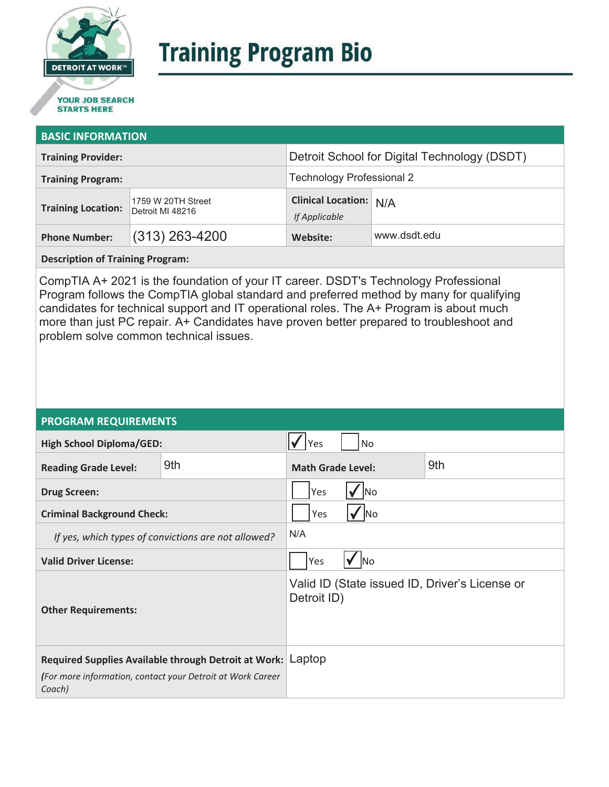

# **Training Program Bio**

## **STARTS HERE**

#### **BASIC INFORMATION**

| <b>Training Provider:</b> |                                        | Detroit School for Digital Technology (DSDT)   |              |
|---------------------------|----------------------------------------|------------------------------------------------|--------------|
| <b>Training Program:</b>  |                                        | Technology Professional 2                      |              |
| <b>Training Location:</b> | 1759 W 20TH Street<br>Detroit MI 48216 | <b>Clinical Location: N/A</b><br>If Applicable |              |
| <b>Phone Number:</b>      | $(313)$ 263-4200                       | Website:                                       | www.dsdt.edu |

**Description of Training Program:** 

CompTIA A+ 2021 is the foundation of your IT career. DSDT's Technology Professional Program follows the CompTIA global standard and preferred method by many for qualifying candidates for technical support and IT operational roles. The A+ Program is about much more than just PC repair. A+ Candidates have proven better prepared to troubleshoot and problem solve common technical issues.

#### **PROGRAM REQUIREMENTS**

| <b>High School Diploma/GED:</b>                                                                                                     |     | <b>No</b><br>Yes                                              |  |  |
|-------------------------------------------------------------------------------------------------------------------------------------|-----|---------------------------------------------------------------|--|--|
| <b>Reading Grade Level:</b>                                                                                                         | 9th | 9th<br><b>Math Grade Level:</b>                               |  |  |
| <b>Drug Screen:</b>                                                                                                                 |     | Yes<br> No                                                    |  |  |
| <b>Criminal Background Check:</b>                                                                                                   |     | Yes<br>lNo                                                    |  |  |
| If yes, which types of convictions are not allowed?                                                                                 |     | N/A                                                           |  |  |
| <b>Valid Driver License:</b>                                                                                                        |     | Yes<br><b>INo</b>                                             |  |  |
| <b>Other Requirements:</b>                                                                                                          |     | Valid ID (State issued ID, Driver's License or<br>Detroit ID) |  |  |
| Required Supplies Available through Detroit at Work: Laptop<br>(For more information, contact your Detroit at Work Career<br>Coach) |     |                                                               |  |  |